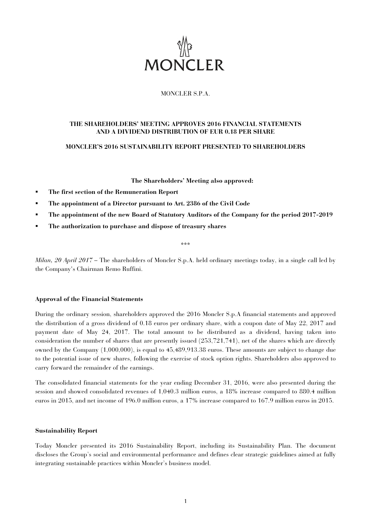

# MONCLER S.P.A.

# **THE SHAREHOLDERS' MEETING APPROVES 2016 FINANCIAL STATEMENTS AND A DIVIDEND DISTRIBUTION OF EUR 0.18 PER SHARE**

# **MONCLER'S 2016 SUSTAINABILITY REPORT PRESENTED TO SHAREHOLDERS**

**The Shareholders' Meeting also approved:** 

- **The first section of the Remuneration Report**
- **The appointment of a Director pursuant to Art. 2386 of the Civil Code**
- **The appointment of the new Board of Statutory Auditors of the Company for the period 2017-2019**
- **The authorization to purchase and dispose of treasury shares**

\*\*\*

*Milan, 20 April 2017 –* The shareholders of Moncler S.p.A. held ordinary meetings today, in a single call led by the Company's Chairman Remo Ruffini.

## **Approval of the Financial Statements**

During the ordinary session, shareholders approved the 2016 Moncler S.p.A financial statements and approved the distribution of a gross dividend of 0.18 euros per ordinary share, with a coupon date of May 22, 2017 and payment date of May 24, 2017. The total amount to be distributed as a dividend, having taken into consideration the number of shares that are presently issued (253,721,741), net of the shares which are directly owned by the Company (1,000,000), is equal to 45,489,913.38 euros. These amounts are subject to change due to the potential issue of new shares, following the exercise of stock option rights. Shareholders also approved to carry forward the remainder of the earnings.

The consolidated financial statements for the year ending December 31, 2016, were also presented during the session and showed consolidated revenues of 1,040.3 million euros, a 18% increase compared to 880.4 million euros in 2015, and net income of 196.0 million euros, a 17% increase compared to 167.9 million euros in 2015.

## **Sustainability Report**

Today Moncler presented its 2016 Sustainability Report, including its Sustainability Plan. The document discloses the Group's social and environmental performance and defines clear strategic guidelines aimed at fully integrating sustainable practices within Moncler's business model.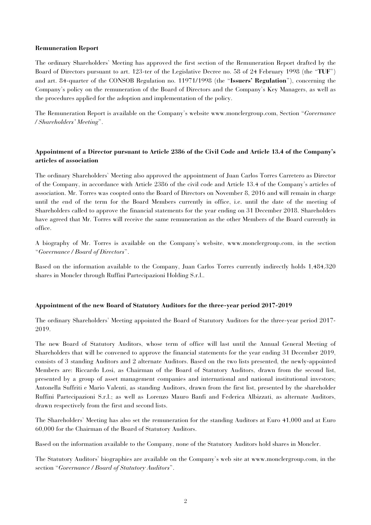## **Remuneration Report**

The ordinary Shareholders' Meeting has approved the first section of the Remuneration Report drafted by the Board of Directors pursuant to art. 123-ter of the Legislative Decree no. 58 of 24 February 1998 (the "**TUF**") and art. 84-quarter of the CONSOB Regulation no. 11971/1998 (the "**Issuers' Regulation**"), concerning the Company's policy on the remuneration of the Board of Directors and the Company's Key Managers, as well as the procedures applied for the adoption and implementation of the policy.

The Remuneration Report is available on the Company's website www.monclergroup.com, Section "*Governance / Shareholders' Meeting*".

# **Appointment of a Director pursuant to Article 2386 of the Civil Code and Article 13.4 of the Company's articles of association**

The ordinary Shareholders' Meeting also approved the appointment of Juan Carlos Torres Carretero as Director of the Company, in accordance with Article 2386 of the civil code and Article 13.4 of the Company's articles of association. Mr. Torres was coopted onto the Board of Directors on November 8, 2016 and will remain in charge until the end of the term for the Board Members currently in office, i.e. until the date of the meeting of Shareholders called to approve the financial statements for the year ending on 31 December 2018. Shareholders have agreed that Mr. Torres will receive the same remuneration as the other Members of the Board currently in office.

A biography of Mr. Torres is available on the Company's website, www.monclergroup.com, in the section "*Governance / Board of Directors*".

Based on the information available to the Company, Juan Carlos Torres currently indirectly holds 1,484,320 shares in Moncler through Ruffini Partecipazioni Holding S.r.l..

# **Appointment of the new Board of Statutory Auditors for the three-year period 2017-2019**

The ordinary Shareholders' Meeting appointed the Board of Statutory Auditors for the three-year period 2017- 2019.

The new Board of Statutory Auditors, whose term of office will last until the Annual General Meeting of Shareholders that will be convened to approve the financial statements for the year ending 31 December 2019, consists of 3 standing Auditors and 2 alternate Auditors. Based on the two lists presented, the newly-appointed Members are: Riccardo Losi, as Chairman of the Board of Statutory Auditors, drawn from the second list, presented by a group of asset management companies and international and national institutional investors; Antonella Suffriti e Mario Valenti, as standing Auditors, drawn from the first list, presented by the shareholder Ruffini Partecipazioni S.r.l.; as well as Lorenzo Mauro Banfi and Federica Albizzati, as alternate Auditors, drawn respectively from the first and second lists.

The Shareholders' Meeting has also set the remuneration for the standing Auditors at Euro 41,000 and at Euro 60,000 for the Chairman of the Board of Statutory Auditors.

Based on the information available to the Company, none of the Statutory Auditors hold shares in Moncler.

The Statutory Auditors' biographies are available on the Company's web site at www.monclergroup.com, in the section "*Governance / Board of Statutory Auditors*".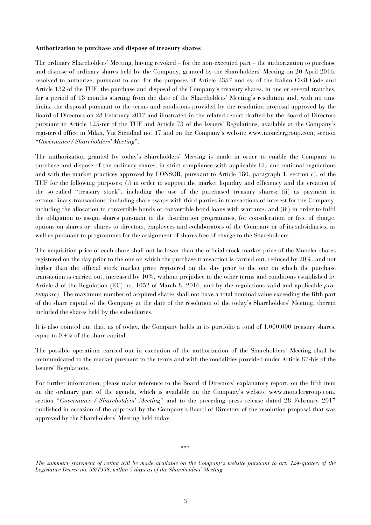## **Authorization to purchase and dispose of treasury shares**

The ordinary Shareholders' Meeting, having revoked – for the non-executed part – the authorization to purchase and dispose of ordinary shares held by the Company, granted by the Shareholders' Meeting on 20 April 2016, resolved to authorize, pursuant to and for the purposes of Article 2357 and ss. of the Italian Civil Code and Article 132 of the TUF, the purchase and disposal of the Company's treasury shares, in one or several tranches, for a period of 18 months starting from the date of the Shareholders' Meeting's resolution and, with no time limits, the disposal pursuant to the terms and conditions provided by the resolution proposal approved by the Board of Directors on 28 February 2017 and illustrated in the related report drafted by the Board of Directors pursuant to Article 125-ter of the TUF and Article 73 of the Issuers' Regulations, available at the Company's registered office in Milan, Via Stendhal no. 47 and on the Company's website www.monclergroup.com, section "*Governance / Shareholders' Meeting*".

The authorization granted by today's Shareholders' Meeting is made in order to enable the Company to purchase and dispose of the ordinary shares, in strict compliance with applicable EU and national regulations and with the market practices approved by CONSOB, pursuant to Article 180, paragraph 1, section c), of the TUF for the following purposes: (i) in order to support the market liquidity and efficiency and the creation of the so-called "treasury stock", including the use of the purchased treasury shares; (ii) as payment in extraordinary transactions, including share swaps with third parties in transactions of interest for the Company, including the allocation to convertible bonds or convertible bond loans with warrants; and (iii) in order to fulfil the obligation to assign shares pursuant to the distribution programmes, for consideration or free of charge, options on shares or shares to directors, employees and collaborators of the Company or of its subsidiaries, as well as pursuant to programmes for the assignment of shares free of charge to the Shareholders.

The acquisition price of each share shall not be lower than the official stock market price of the Moncler shares registered on the day prior to the one on which the purchase transaction is carried out, reduced by 20%, and not higher than the official stock market price registered on the day prior to the one on which the purchase transaction is carried out, increased by 10%, without prejudice to the other terms and conditions established by Article 3 of the Regulation (EC) no. 1052 of March 8, 2016, and by the regulations valid and applicable *protempore*). The maximum number of acquired shares shall not have a total nominal value exceeding the fifth part of the share capital of the Company at the date of the resolution of the today's Shareholders' Meeting, therein included the shares held by the subsidiaries.

It is also pointed out that, as of today, the Company holds in its portfolio a total of 1,000,000 treasury shares, equal to 0.4% of the share capital.

The possible operations carried out in execution of the authorization of the Shareholders' Meeting shall be communicated to the market pursuant to the terms and with the modalities provided under Article 87-bis of the Issuers' Regulations.

For further information, please make reference to the Board of Directors' explanatory report, on the fifth item on the ordinary part of the agenda, which is available on the Company's website www.monclergroup.com, section "*Governance / Shareholders' Meeting*" and to the preceding press release dated 28 February 2017 published in occasion of the approval by the Company's Board of Directors of the resolution proposal that was approved by the Shareholders' Meeting held today.

\*\*\*

*The summary statement of voting will be made available on the Company's website pursuant to art. 124-quater, of the Legislative Decree no. 58/1998, within 5 days as of the Shareholders' Meeting.*